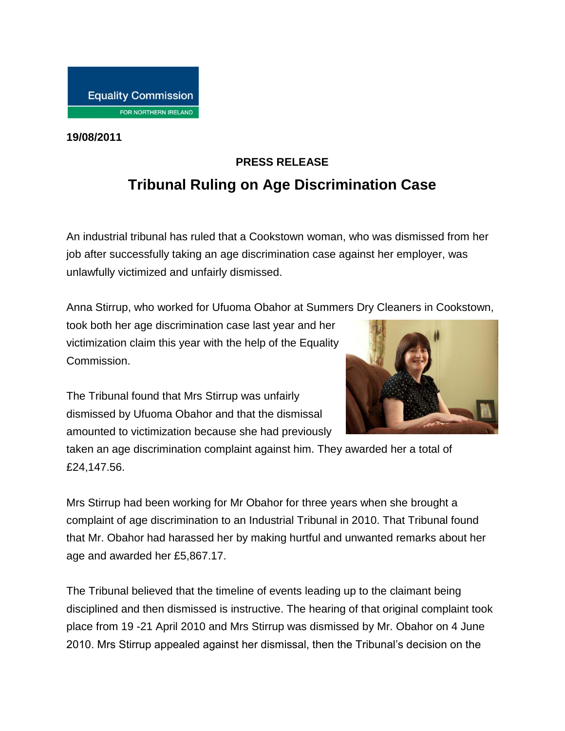## **Equality Commission** FOR NORTHERN IRELAND

**19/08/2011**

## **PRESS RELEASE Tribunal Ruling on Age Discrimination Case**

An industrial tribunal has ruled that a Cookstown woman, who was dismissed from her job after successfully taking an age discrimination case against her employer, was unlawfully victimized and unfairly dismissed.

Anna Stirrup, who worked for Ufuoma Obahor at Summers Dry Cleaners in Cookstown,

took both her age discrimination case last year and her victimization claim this year with the help of the Equality Commission.



The Tribunal found that Mrs Stirrup was unfairly dismissed by Ufuoma Obahor and that the dismissal amounted to victimization because she had previously

taken an age discrimination complaint against him. They awarded her a total of £24,147.56.

Mrs Stirrup had been working for Mr Obahor for three years when she brought a complaint of age discrimination to an Industrial Tribunal in 2010. That Tribunal found that Mr. Obahor had harassed her by making hurtful and unwanted remarks about her age and awarded her £5,867.17.

The Tribunal believed that the timeline of events leading up to the claimant being disciplined and then dismissed is instructive. The hearing of that original complaint took place from 19 -21 April 2010 and Mrs Stirrup was dismissed by Mr. Obahor on 4 June 2010. Mrs Stirrup appealed against her dismissal, then the Tribunal's decision on the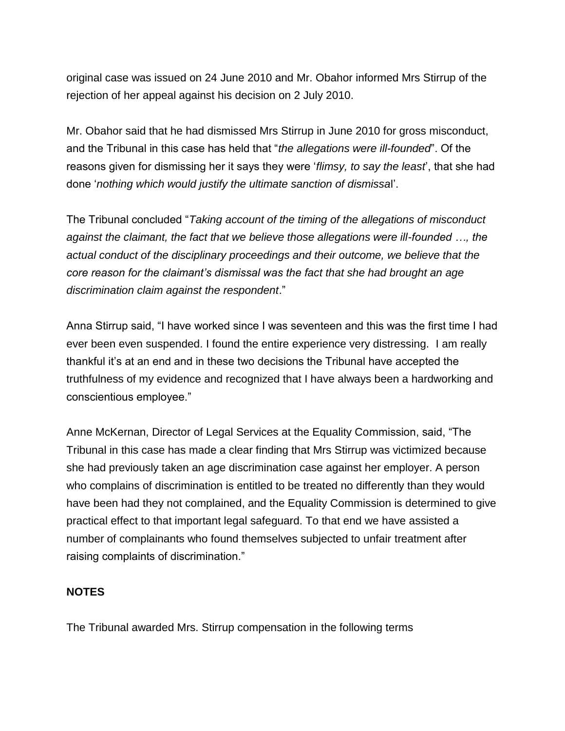original case was issued on 24 June 2010 and Mr. Obahor informed Mrs Stirrup of the rejection of her appeal against his decision on 2 July 2010.

Mr. Obahor said that he had dismissed Mrs Stirrup in June 2010 for gross misconduct, and the Tribunal in this case has held that "*the allegations were ill-founded*". Of the reasons given for dismissing her it says they were '*flimsy, to say the least*', that she had done '*nothing which would justify the ultimate sanction of dismissa*l'.

The Tribunal concluded "*Taking account of the timing of the allegations of misconduct against the claimant, the fact that we believe those allegations were ill-founded …, the actual conduct of the disciplinary proceedings and their outcome, we believe that the core reason for the claimant's dismissal was the fact that she had brought an age discrimination claim against the respondent*."

Anna Stirrup said, "I have worked since I was seventeen and this was the first time I had ever been even suspended. I found the entire experience very distressing. I am really thankful it's at an end and in these two decisions the Tribunal have accepted the truthfulness of my evidence and recognized that I have always been a hardworking and conscientious employee."

Anne McKernan, Director of Legal Services at the Equality Commission, said, "The Tribunal in this case has made a clear finding that Mrs Stirrup was victimized because she had previously taken an age discrimination case against her employer. A person who complains of discrimination is entitled to be treated no differently than they would have been had they not complained, and the Equality Commission is determined to give practical effect to that important legal safeguard. To that end we have assisted a number of complainants who found themselves subjected to unfair treatment after raising complaints of discrimination."

## **NOTES**

The Tribunal awarded Mrs. Stirrup compensation in the following terms